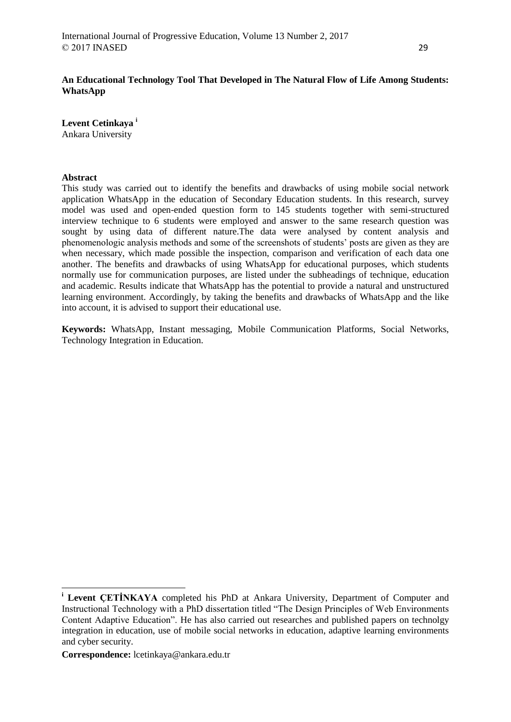# **An Educational Technology Tool That Developed in The Natural Flow of Life Among Students: WhatsApp**

**Levent Cetinkaya <sup>i</sup>** Ankara University

### **Abstract**

This study was carried out to identify the benefits and drawbacks of using mobile social network application WhatsApp in the education of Secondary Education students. In this research, survey model was used and open-ended question form to 145 students together with semi-structured interview technique to  $\vec{6}$  students were employed and answer to the same research question was sought by using data of different nature.The data were analysed by content analysis and phenomenologic analysis methods and some of the screenshots of students' posts are given as they are when necessary, which made possible the inspection, comparison and verification of each data one another. The benefits and drawbacks of using WhatsApp for educational purposes, which students normally use for communication purposes, are listed under the subheadings of technique, education and academic. Results indicate that WhatsApp has the potential to provide a natural and unstructured learning environment. Accordingly, by taking the benefits and drawbacks of WhatsApp and the like into account, it is advised to support their educational use.

**Keywords:** WhatsApp, Instant messaging, Mobile Communication Platforms, Social Networks, Technology Integration in Education.

**.** 

**<sup>i</sup> Levent ÇETİNKAYA** completed his PhD at Ankara University, Department of Computer and Instructional Technology with a PhD dissertation titled "The Design Principles of Web Environments Content Adaptive Education". He has also carried out researches and published papers on technolgy integration in education, use of mobile social networks in education, adaptive learning environments and cyber security.

**Correspondence:** lcetinkaya@ankara.edu.tr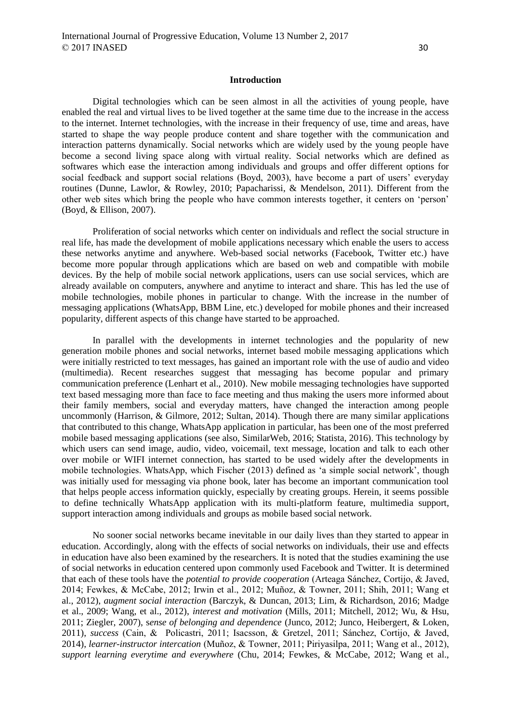### **Introduction**

Digital technologies which can be seen almost in all the activities of young people, have enabled the real and virtual lives to be lived together at the same time due to the increase in the access to the internet. Internet technologies, with the increase in their frequency of use, time and areas, have started to shape the way people produce content and share together with the communication and interaction patterns dynamically. Social networks which are widely used by the young people have become a second living space along with virtual reality. Social networks which are defined as softwares which ease the interaction among individuals and groups and offer different options for social feedback and support social relations (Boyd, 2003), have become a part of users' everyday routines (Dunne, Lawlor, & Rowley, 2010; Papacharissi, & Mendelson, 2011). Different from the other web sites which bring the people who have common interests together, it centers on 'person' (Boyd, & Ellison, 2007).

Proliferation of social networks which center on individuals and reflect the social structure in real life, has made the development of mobile applications necessary which enable the users to access these networks anytime and anywhere. Web-based social networks (Facebook, Twitter etc.) have become more popular through applications which are based on web and compatible with mobile devices. By the help of mobile social network applications, users can use social services, which are already available on computers, anywhere and anytime to interact and share. This has led the use of mobile technologies, mobile phones in particular to change. With the increase in the number of messaging applications (WhatsApp, BBM Line, etc.) developed for mobile phones and their increased popularity, different aspects of this change have started to be approached.

In parallel with the developments in internet technologies and the popularity of new generation mobile phones and social networks, internet based mobile messaging applications which were initially restricted to text messages, has gained an important role with the use of audio and video (multimedia). Recent researches suggest that messaging has become popular and primary communication preference (Lenhart et al., 2010). New mobile messaging technologies have supported text based messaging more than face to face meeting and thus making the users more informed about their family members, social and everyday matters, have changed the interaction among people uncommonly (Harrison, & Gilmore, 2012; Sultan, 2014). Though there are many similar applications that contributed to this change, WhatsApp application in particular, has been one of the most preferred mobile based messaging applications (see also, SimilarWeb, 2016; Statista, 2016). This technology by which users can send image, audio, video, voicemail, text message, location and talk to each other over mobile or WIFI internet connection, has started to be used widely after the developments in mobile technologies. WhatsApp, which Fischer (2013) defined as 'a simple social network', though was initially used for messaging via phone book, later has become an important communication tool that helps people access information quickly, especially by creating groups. Herein, it seems possible to define technically WhatsApp application with its multi-platform feature, multimedia support, support interaction among individuals and groups as mobile based social network.

No sooner social networks became inevitable in our daily lives than they started to appear in education. Accordingly, along with the effects of social networks on individuals, their use and effects in education have also been examined by the researchers. It is noted that the studies examining the use of social networks in education centered upon commonly used Facebook and Twitter. It is determined that each of these tools have the *potential to provide cooperation* (Arteaga Sánchez, Cortijo, & Javed, 2014; Fewkes, & McCabe, 2012; Irwin et al., 2012; Muñoz, & Towner, 2011; Shih, 2011; Wang et al., 2012), *augment social interaction* (Barczyk, & Duncan, 2013; Lim, & Richardson, 2016; Madge et al., 2009; Wang, et al., 2012), *interest and motivation* (Mills, 2011; Mitchell, 2012; Wu, & Hsu, 2011; Ziegler, 2007), s*ense of belonging and dependence* (Junco, 2012; Junco, Heibergert, & Loken, 2011), *success* (Cain, & Policastri, 2011; Isacsson, & Gretzel, 2011; Sánchez, Cortijo, & Javed, 2014), *learner-instructor intercation* (Muñoz, & Towner, 2011; Piriyasilpa, 2011; Wang et al., 2012), *support learning everytime and everywhere* (Chu, 2014; Fewkes, & McCabe, 2012; Wang et al.,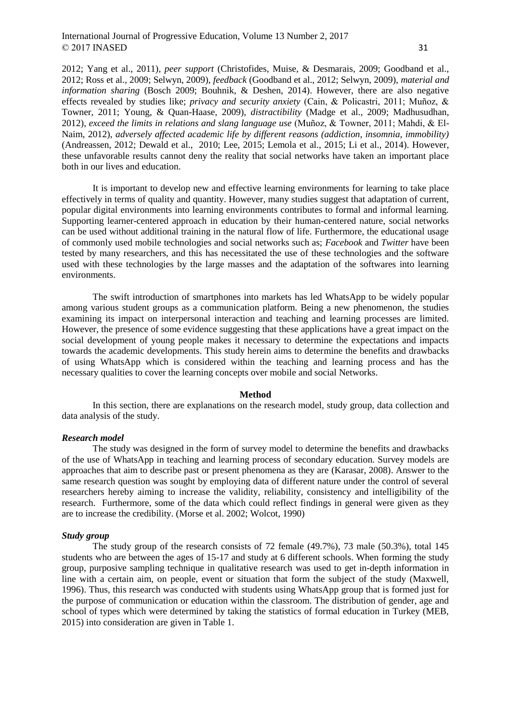2012; Yang et al., 2011), *peer support* (Christofides, Muise, & Desmarais, 2009; Goodband et al., 2012; Ross et al., 2009; Selwyn, 2009), *feedback* (Goodband et al., 2012; Selwyn, 2009), *material and information sharing* (Bosch 2009; Bouhnik, & Deshen, 2014). However, there are also negative effects revealed by studies like; *privacy and security anxiety* (Cain, & Policastri, 2011; Muñoz, & Towner, 2011; Young, & Quan-Haase, 2009), *distractibility* (Madge et al., 2009; Madhusudhan, 2012), *exceed the limits in relations and slang language use* (Muñoz, & Towner, 2011; Mahdi, & El-Naim, 2012), *adversely affected academic life by different reasons (addiction, insomnia, immobility)* (Andreassen, 2012; Dewald et al., 2010; Lee, 2015; Lemola et al., 2015; Li et al., 2014). However, these unfavorable results cannot deny the reality that social networks have taken an important place both in our lives and education.

It is important to develop new and effective learning environments for learning to take place effectively in terms of quality and quantity. However, many studies suggest that adaptation of current, popular digital environments into learning environments contributes to formal and informal learning. Supporting learner-centered approach in education by their human-centered nature, social networks can be used without additional training in the natural flow of life. Furthermore, the educational usage of commonly used mobile technologies and social networks such as; *Facebook* and *Twitter* have been tested by many researchers, and this has necessitated the use of these technologies and the software used with these technologies by the large masses and the adaptation of the softwares into learning environments.

The swift introduction of smartphones into markets has led WhatsApp to be widely popular among various student groups as a communication platform. Being a new phenomenon, the studies examining its impact on interpersonal interaction and teaching and learning processes are limited. However, the presence of some evidence suggesting that these applications have a great impact on the social development of young people makes it necessary to determine the expectations and impacts towards the academic developments. This study herein aims to determine the benefits and drawbacks of using WhatsApp which is considered within the teaching and learning process and has the necessary qualities to cover the learning concepts over mobile and social Networks.

#### **Method**

In this section, there are explanations on the research model, study group, data collection and data analysis of the study.

#### *Research model*

The study was designed in the form of survey model to determine the benefits and drawbacks of the use of WhatsApp in teaching and learning process of secondary education. Survey models are approaches that aim to describe past or present phenomena as they are (Karasar, 2008). Answer to the same research question was sought by employing data of different nature under the control of several researchers hereby aiming to increase the validity, reliability, consistency and intelligibility of the research. Furthermore, some of the data which could reflect findings in general were given as they are to increase the credibility. (Morse et al. 2002; Wolcot, 1990)

#### *Study group*

The study group of the research consists of 72 female (49.7%), 73 male (50.3%), total 145 students who are between the ages of 15-17 and study at 6 different schools. When forming the study group, purposive sampling technique in qualitative research was used to get in-depth information in line with a certain aim, on people, event or situation that form the subject of the study (Maxwell, 1996). Thus, this research was conducted with students using WhatsApp group that is formed just for the purpose of communication or education within the classroom. The distribution of gender, age and school of types which were determined by taking the statistics of formal education in Turkey (MEB, 2015) into consideration are given in Table 1.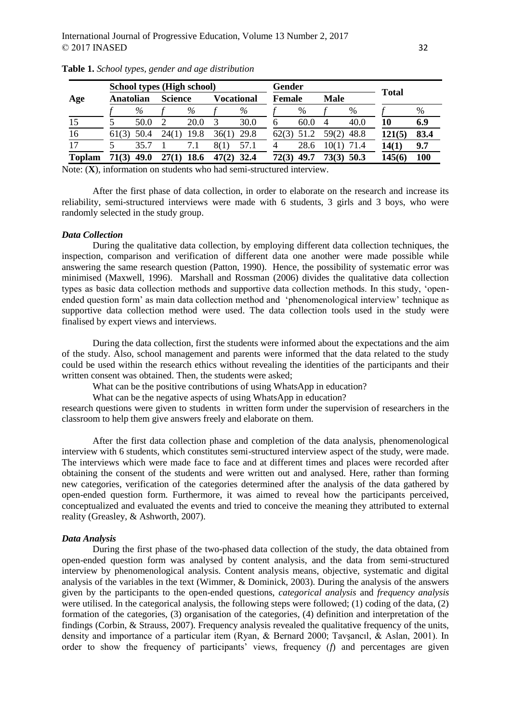|               | School types (High school) |      |                |      |            | Gender |               |      |                |      |              |      |
|---------------|----------------------------|------|----------------|------|------------|--------|---------------|------|----------------|------|--------------|------|
| Age           | Anatolian                  |      | <b>Science</b> |      | Vocational |        | <b>Female</b> |      | <b>Male</b>    |      | <b>Total</b> |      |
|               |                            | %    |                | %    |            | %      |               | %    |                | %    |              | %    |
| 15            |                            | 50.0 |                | 20.0 |            | 30.0   | h             | 60.0 | $\overline{4}$ | 40.0 | 10           | 6.9  |
| 16            | 61(3)                      | 50.4 | 24(1)          | 19.8 | 36(1)      | 29.8   |               |      | 59(2)          | 48.8 | 121(5)       | 83.4 |
| 17            |                            | 35.7 |                | 7.1  | 8(1)       | 57.1   | 4             | 28.6 | 10(1)          | 71.4 | 14(1)        | 9.7  |
| <b>Toplam</b> | 71(3)                      | 49.0 |                | 18.6 |            | 32.4   | <b>72(3)</b>  | 49.7 | 73(3)          | 50.3 | 145(6        | 100  |

**Table 1.** *School types, gender and age distribution*

Note: (**X**), information on students who had semi-structured interview.

After the first phase of data collection, in order to elaborate on the research and increase its reliability, semi-structured interviews were made with 6 students, 3 girls and 3 boys, who were randomly selected in the study group.

### *Data Collection*

During the qualitative data collection, by employing different data collection techniques, the inspection, comparison and verification of different data one another were made possible while answering the same research question (Patton, 1990). Hence, the possibility of systematic error was minimised (Maxwell, 1996). Marshall and Rossman (2006) divides the qualitative data collection types as basic data collection methods and supportive data collection methods. In this study, 'openended question form' as main data collection method and 'phenomenological interview' technique as supportive data collection method were used. The data collection tools used in the study were finalised by expert views and interviews.

During the data collection, first the students were informed about the expectations and the aim of the study. Also, school management and parents were informed that the data related to the study could be used within the research ethics without revealing the identities of the participants and their written consent was obtained. Then, the students were asked;

What can be the positive contributions of using WhatsApp in education?

What can be the negative aspects of using WhatsApp in education?

research questions were given to students in written form under the supervision of researchers in the classroom to help them give answers freely and elaborate on them.

After the first data collection phase and completion of the data analysis, phenomenological interview with 6 students, which constitutes semi-structured interview aspect of the study, were made. The interviews which were made face to face and at different times and places were recorded after obtaining the consent of the students and were written out and analysed. Here, rather than forming new categories, verification of the categories determined after the analysis of the data gathered by open-ended question form. Furthermore, it was aimed to reveal how the participants perceived, conceptualized and evaluated the events and tried to conceive the meaning they attributed to external reality (Greasley, & Ashworth, 2007).

#### *Data Analysis*

During the first phase of the two-phased data collection of the study, the data obtained from open-ended question form was analysed by content analysis, and the data from semi-structured interview by phenomenological analysis. Content analysis means, objective, systematic and digital analysis of the variables in the text (Wimmer, & Dominick, 2003). During the analysis of the answers given by the participants to the open-ended questions, *categorical analysis* and *frequency analysis* were utilised. In the categorical analysis, the following steps were followed; (1) coding of the data, (2) formation of the categories, (3) organisation of the categories, (4) definition and interpretation of the findings (Corbin, & Strauss, 2007). Frequency analysis revealed the qualitative frequency of the units, density and importance of a particular item (Ryan, & Bernard 2000; Tavşancıl, & Aslan, 2001). In order to show the frequency of participants' views, frequency (*f*) and percentages are given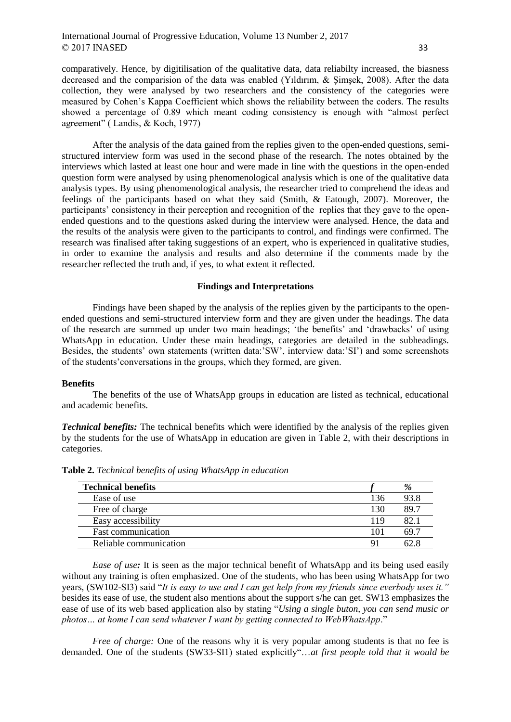comparatively. Hence, by digitilisation of the qualitative data, data reliabilty increased, the biasness decreased and the comparision of the data was enabled (Yıldırım, & Şimşek, 2008). After the data collection, they were analysed by two researchers and the consistency of the categories were measured by Cohen's Kappa Coefficient which shows the reliability between the coders. The results showed a percentage of 0.89 which meant coding consistency is enough with "almost perfect agreement" ( Landis, & Koch, 1977)

After the analysis of the data gained from the replies given to the open-ended questions, semistructured interview form was used in the second phase of the research. The notes obtained by the interviews which lasted at least one hour and were made in line with the questions in the open-ended question form were analysed by using phenomenological analysis which is one of the qualitative data analysis types. By using phenomenological analysis, the researcher tried to comprehend the ideas and feelings of the participants based on what they said (Smith, & Eatough, 2007). Moreover, the participants' consistency in their perception and recognition of the replies that they gave to the openended questions and to the questions asked during the interview were analysed. Hence, the data and the results of the analysis were given to the participants to control, and findings were confirmed. The research was finalised after taking suggestions of an expert, who is experienced in qualitative studies, in order to examine the analysis and results and also determine if the comments made by the researcher reflected the truth and, if yes, to what extent it reflected.

# **Findings and Interpretations**

Findings have been shaped by the analysis of the replies given by the participants to the openended questions and semi-structured interview form and they are given under the headings. The data of the research are summed up under two main headings; 'the benefits' and 'drawbacks' of using WhatsApp in education. Under these main headings, categories are detailed in the subheadings. Besides, the students' own statements (written data:'SW', interview data:'SI') and some screenshots of the students'conversations in the groups, which they formed, are given.

#### **Benefits**

The benefits of the use of WhatsApp groups in education are listed as technical, educational and academic benefits.

*Technical benefits:* The technical benefits which were identified by the analysis of the replies given by the students for the use of WhatsApp in education are given in Table 2, with their descriptions in categories.

| <b>Technical benefits</b> |     | %    |
|---------------------------|-----|------|
| Ease of use               | 136 | 93.8 |
| Free of charge            | 130 | 89.7 |
| Easy accessibility        | 119 | 82.  |
| <b>Fast communication</b> | 101 | 69.7 |
| Reliable communication    | 91  | 62.8 |

**Table 2.** *Technical benefits of using WhatsApp in education*

*Ease of use*: It is seen as the major technical benefit of WhatsApp and its being used easily without any training is often emphasized. One of the students, who has been using WhatsApp for two years, (SW102-SI3) said "*It is easy to use and I can get help from my friends since everbody uses it."*  besides its ease of use, the student also mentions about the support s/he can get. SW13 emphasizes the ease of use of its web based application also by stating "*Using a single buton, you can send music or photos… at home I can send whatever I want by getting connected to WebWhatsApp*."

*Free of charge:* One of the reasons why it is very popular among students is that no fee is demanded. One of the students (SW33-SI1) stated explicitly"…*at first people told that it would be*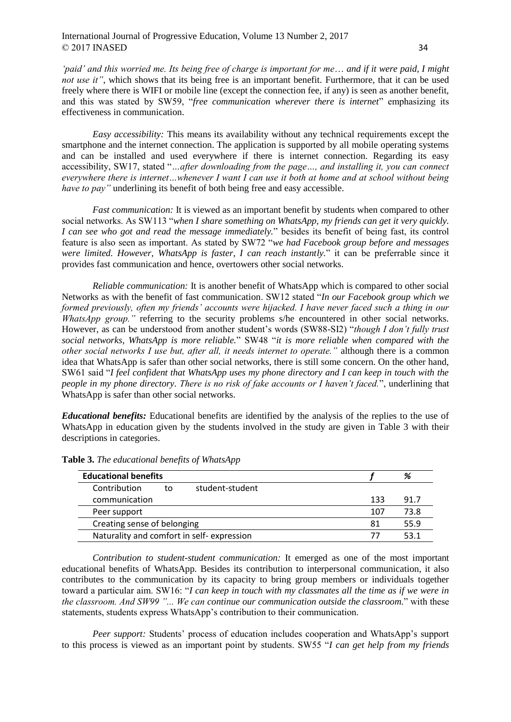*'paid' and this worried me. Its being free of charge is important for me*… *and if it were paid, I might not use it"*, which shows that its being free is an important benefit. Furthermore, that it can be used freely where there is WIFI or mobile line (except the connection fee, if any) is seen as another benefit, and this was stated by SW59, "*free communication wherever there is internet*" emphasizing its effectiveness in communication.

*Easy accessibility:* This means its availability without any technical requirements except the smartphone and the internet connection. The application is supported by all mobile operating systems and can be installed and used everywhere if there is internet connection. Regarding its easy accessibility, SW17, stated "*…after downloading from the page…, and installing it, you can connect everywhere there is internet…whenever I want I can use it both at home and at school without being have to pay*" underlining its benefit of both being free and easy accessible.

*Fast communication:* It is viewed as an important benefit by students when compared to other social networks. As SW113 "*when I share something on WhatsApp, my friends can get it very quickly. I can see who got and read the message immediately.*" besides its benefit of being fast, its control feature is also seen as important. As stated by SW72 "*we had Facebook group before and messages were limited. However, WhatsApp is faster, I can reach instantly.*" it can be preferrable since it provides fast communication and hence, overtowers other social networks.

*Reliable communication:* It is another benefit of WhatsApp which is compared to other social Networks as with the benefit of fast communication. SW12 stated "*In our Facebook group which we formed previously, often my friends' accounts were hijacked. I have never faced such a thing in our WhatsApp group.*" referring to the security problems s/he encountered in other social networks. However, as can be understood from another student's words (SW88-SI2) "*though I don't fully trust social networks, WhatsApp is more reliable.*" SW48 "*it is more reliable when compared with the other social networks I use but, after all, it needs internet to operate."* although there is a common idea that WhatsApp is safer than other social networks, there is still some concern. On the other hand, SW61 said "*I feel confident that WhatsApp uses my phone directory and I can keep in touch with the people in my phone directory. There is no risk of fake accounts or I haven't faced.*", underlining that WhatsApp is safer than other social networks.

*Educational benefits:* Educational benefits are identified by the analysis of the replies to the use of WhatsApp in education given by the students involved in the study are given in Table 3 with their descriptions in categories.

| <b>Educational benefits</b>               |    |                 | % |     |      |
|-------------------------------------------|----|-----------------|---|-----|------|
| Contribution                              | to | student-student |   |     |      |
| communication                             |    |                 |   | 133 | 91.7 |
| Peer support                              |    |                 |   | 107 | 73.8 |
| Creating sense of belonging               |    |                 |   | 81  | 55.9 |
| Naturality and comfort in self-expression |    |                 |   |     | 53.1 |
|                                           |    |                 |   |     |      |

**Table 3.** *The educational benefits of WhatsApp*

*Contribution to student-student communication:* It emerged as one of the most important educational benefits of WhatsApp. Besides its contribution to interpersonal communication, it also contributes to the communication by its capacity to bring group members or individuals together toward a particular aim. SW16: "*I can keep in touch with my classmates all the time as if we were in the classroom. And SW99 "... We can continue our communication outside the classroom.*" with these statements, students express WhatsApp's contribution to their communication.

*Peer support:* Students' process of education includes cooperation and WhatsApp's support to this process is viewed as an important point by students. SW55 "*I can get help from my friends*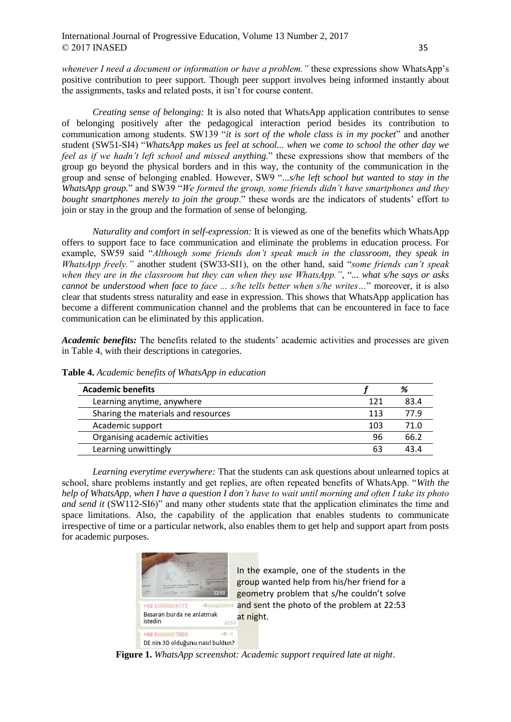*whenever I need a document or information or have a problem."* these expressions show WhatsApp's positive contribution to peer support. Though peer support involves being informed instantly about the assignments, tasks and related posts, it isn't for course content.

*Creating sense of belonging:* It is also noted that WhatsApp application contributes to sense of belonging positively after the pedagogical interaction period besides its contribution to communication among students. SW139 "*it is sort of the whole class is in my pocket*" and another student (SW51-SI4) "*WhatsApp makes us feel at school... when we come to school the other day we feel as if we hadn't left school and missed anything.*" these expressions show that members of the group go beyond the physical borders and in this way, the contunity of the communication in the group and sense of belonging enabled. However, SW9 "*...s/he left school but wanted to stay in the WhatsApp group.*" and SW39 "*We formed the group, some friends didn't have smartphones and they bought smartphones merely to join the group*." these words are the indicators of students' effort to join or stay in the group and the formation of sense of belonging.

*Naturality and comfort in self-expression:* It is viewed as one of the benefits which WhatsApp offers to support face to face communication and eliminate the problems in education process. For example, SW59 said "*Although some friends don't speak much in the classroom, they speak in WhatsApp freely."* another student (SW33-SI1), on the other hand, said "*some friends can't speak when they are in the classroom but they can when they use WhatsApp."*, "*... what s/he says or asks cannot be understood when face to face ... s/he tells better when s/he writes…*" moreover, it is also clear that students stress naturality and ease in expression. This shows that WhatsApp application has become a different communication channel and the problems that can be encountered in face to face communication can be eliminated by this application.

*Academic benefits:* The benefits related to the students' academic activities and processes are given in Table 4, with their descriptions in categories.

| <b>Academic benefits</b>            |     | %    |
|-------------------------------------|-----|------|
| Learning anytime, anywhere          | 121 | 83.4 |
| Sharing the materials and resources | 113 | 77.9 |
| Academic support                    | 103 | 71.0 |
| Organising academic activities      | 96  | 66.2 |
| Learning unwittingly                | 63  | 43 A |

**Table 4.** *Academic benefits of WhatsApp in education*

*Learning everytime everywhere:* That the students can ask questions about unlearned topics at school, share problems instantly and get replies, are often repeated benefits of WhatsApp. "*With the help of WhatsApp, when I have a question I don't have to wait until morning and often I take its photo and send it* (SW112-SI6)" and many other students state that the application eliminates the time and space limitations. Also, the capability of the application that enables students to communicate irrespective of time or a particular network, also enables them to get help and support apart from posts for academic purposes.



In the example, one of the students in the group wanted help from his/her friend for a geometry problem that s/he couldn't solve and sent the photo of the problem at 22:53 at night.

**Figure 1.** *WhatsApp screenshot: Academic support required late at night*.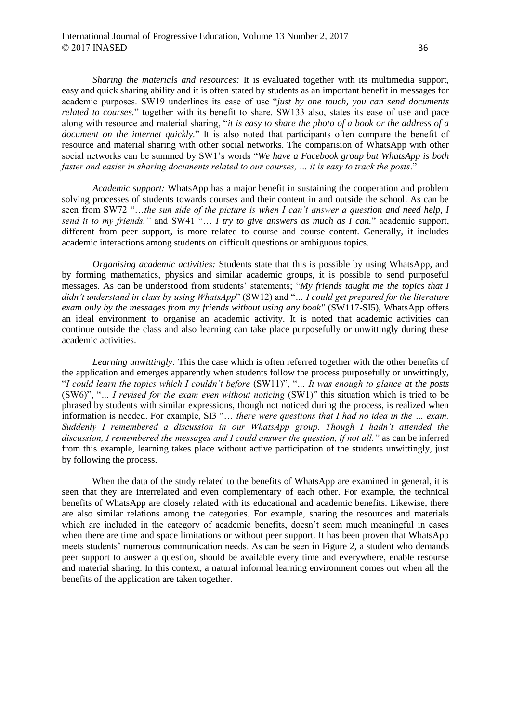*Sharing the materials and resources:* It is evaluated together with its multimedia support, easy and quick sharing ability and it is often stated by students as an important benefit in messages for academic purposes. SW19 underlines its ease of use "*just by one touch, you can send documents related to courses.*" together with its benefit to share. SW133 also, states its ease of use and pace along with resource and material sharing, "*it is easy to share the photo of a book or the address of a document on the internet quickly.*" It is also noted that participants often compare the benefit of resource and material sharing with other social networks. The comparision of WhatsApp with other social networks can be summed by SW1's words "*We have a Facebook group but WhatsApp is both faster and easier in sharing documents related to our courses, … it is easy to track the posts*."

*Academic support:* WhatsApp has a major benefit in sustaining the cooperation and problem solving processes of students towards courses and their content in and outside the school. As can be seen from SW72 "…*the sun side of the picture is when I can't answer a question and need help, I send it to my friends."* and SW41 "… *I try to give answers as much as I can.*" academic support, different from peer support, is more related to course and course content. Generally, it includes academic interactions among students on difficult questions or ambiguous topics.

*Organising academic activities:* Students state that this is possible by using WhatsApp, and by forming mathematics, physics and similar academic groups, it is possible to send purposeful messages. As can be understood from students' statements; "*My friends taught me the topics that I didn't understand in class by using WhatsApp*" (SW12) and "*… I could get prepared for the literature*  exam only by the messages from my friends without using any book" (SW117-SI5), WhatsApp offers an ideal environment to organise an academic activity. It is noted that academic activities can continue outside the class and also learning can take place purposefully or unwittingly during these academic activities.

*Learning unwittingly:* This the case which is often referred together with the other benefits of the application and emerges apparently when students follow the process purposefully or unwittingly, "*I could learn the topics which I couldn't before* (SW11)", "*… It was enough to glance at the posts* (SW6)", "*… I revised for the exam even without noticing* (SW1)" this situation which is tried to be phrased by students with similar expressions, though not noticed during the process, is realized when information is needed. For example, SI3 "… *there were questions that I had no idea in the … exam. Suddenly I remembered a discussion in our WhatsApp group. Though I hadn't attended the discussion, I remembered the messages and I could answer the question, if not all."* as can be inferred from this example, learning takes place without active participation of the students unwittingly, just by following the process.

When the data of the study related to the benefits of WhatsApp are examined in general, it is seen that they are interrelated and even complementary of each other. For example, the technical benefits of WhatsApp are closely related with its educational and academic benefits. Likewise, there are also similar relations among the categories. For example, sharing the resources and materials which are included in the category of academic benefits, doesn't seem much meaningful in cases when there are time and space limitations or without peer support. It has been proven that WhatsApp meets students' numerous communication needs. As can be seen in Figure 2, a student who demands peer support to answer a question, should be available every time and everywhere, enable resourse and material sharing. In this context, a natural informal learning environment comes out when all the benefits of the application are taken together.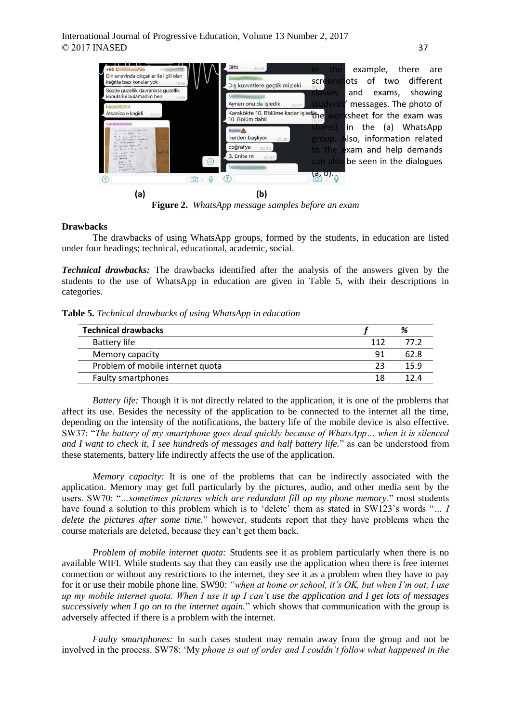

**Figure 2.** *WhatsApp message samples before an exam*

# **Drawbacks**

The drawbacks of using WhatsApp groups, formed by the students, in education are listed under four headings; technical, educational, academic, social.

*Technical drawbacks:* The drawbacks identified after the analysis of the answers given by the students to the use of WhatsApp in education are given in Table 5, with their descriptions in categories.

**Table 5.** *Technical drawbacks of using WhatsApp in education*

| <b>Technical drawbacks</b>       |     |      |
|----------------------------------|-----|------|
| Battery life                     | 112 | 77 2 |
| Memory capacity                  | 91  | 62.8 |
| Problem of mobile internet quota | つっ  | 15.9 |
| <b>Faulty smartphones</b>        | 18  |      |

*Battery life:* Though it is not directly related to the application, it is one of the problems that affect its use. Besides the necessity of the application to be connected to the internet all the time, depending on the intensity of the notifications, the battery life of the mobile device is also effective. SW37: "*The battery of my smartphone goes dead quickly because of WhatsApp… when it is silenced and I want to check it, I see hundreds of messages and half battery life.*" as can be understood from these statements, battery life indirectly affects the use of the application.

*Memory capacity:* It is one of the problems that can be indirectly associated with the application. Memory may get full particularly by the pictures, audio, and other media sent by the users. SW70: "*…sometimes pictures which are redundant fill up my phone memory*." most students have found a solution to this problem which is to 'delete' them as stated in SW123's words "*… I delete the pictures after some time.*" however, students report that they have problems when the course materials are deleted, because they can't get them back.

*Problem of mobile internet quota:* Students see it as problem particularly when there is no available WIFI. While students say that they can easily use the application when there is free internet connection or without any restrictions to the internet, they see it as a problem when they have to pay for it or use their mobile phone line. SW90: *"when at home or school, it's OK, but when I'm out, I use up my mobile internet quota. When I use it up I can't use the application and I get lots of messages successively when I go on to the internet again.*" which shows that communication with the group is adversely affected if there is a problem with the internet.

*Faulty smartphones:* In such cases student may remain away from the group and not be involved in the process. SW78: 'My *phone is out of order and I couldn't follow what happened in the*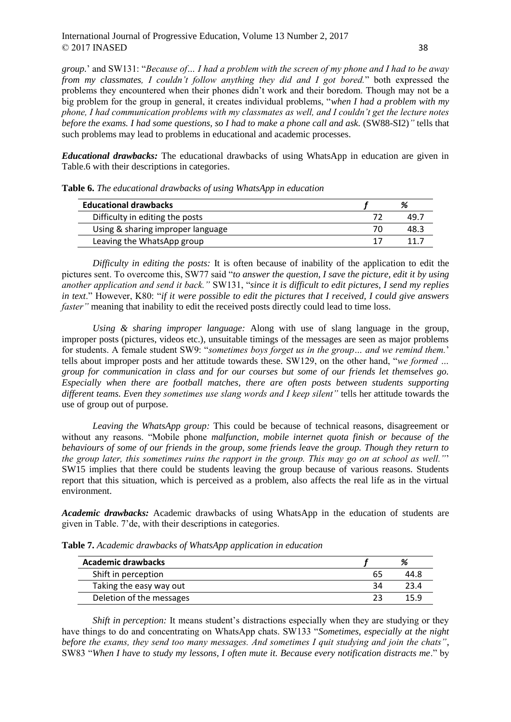*group.*' and SW131: "*Because of… I had a problem with the screen of my phone and I had to be away from my classmates, I couldn't follow anything they did and I got bored.*" both expressed the problems they encountered when their phones didn't work and their boredom. Though may not be a big problem for the group in general, it creates individual problems, "*when I had a problem with my phone, I had communication problems with my classmates as well, and I couldn't get the lecture notes before the exams. I had some questions, so I had to make a phone call and ask.* (SW88-SI2)*"* tells that such problems may lead to problems in educational and academic processes.

*Educational drawbacks:* The educational drawbacks of using WhatsApp in education are given in Table.6 with their descriptions in categories.

| <b>Educational drawbacks</b>      | %    |
|-----------------------------------|------|
| Difficulty in editing the posts   | 49.7 |
| Using & sharing improper language | 48.3 |
| Leaving the WhatsApp group        |      |

**Table 6.** *The educational drawbacks of using WhatsApp in education*

*Difficulty in editing the posts:* It is often because of inability of the application to edit the pictures sent. To overcome this, SW77 said "*to answer the question, I save the picture, edit it by using another application and send it back."* SW131, "*since it is difficult to edit pictures, I send my replies in text*." However, K80: "*if it were possible to edit the pictures that I received, I could give answers faster*" meaning that inability to edit the received posts directly could lead to time loss.

*Using & sharing improper language:* Along with use of slang language in the group, improper posts (pictures, videos etc.), unsuitable timings of the messages are seen as major problems for students. A female student SW9: "*sometimes boys forget us in the group… and we remind them.*' tells about improper posts and her attitude towards these. SW129, on the other hand, "*we formed … group for communication in class and for our courses but some of our friends let themselves go. Especially when there are football matches, there are often posts between students supporting different teams. Even they sometimes use slang words and I keep silent"* tells her attitude towards the use of group out of purpose.

*Leaving the WhatsApp group:* This could be because of technical reasons, disagreement or without any reasons. "Mobile phone *malfunction, mobile internet quota finish or because of the behaviours of some of our friends in the group, some friends leave the group. Though they return to the group later, this sometimes ruins the rapport in the group. This may go on at school as well."*' SW15 implies that there could be students leaving the group because of various reasons. Students report that this situation, which is perceived as a problem, also affects the real life as in the virtual environment.

*Academic drawbacks:* Academic drawbacks of using WhatsApp in the education of students are given in Table. 7'de, with their descriptions in categories.

| <b>Academic drawbacks</b> |    |  |
|---------------------------|----|--|
| Shift in perception       | 65 |  |
| Taking the easy way out   |    |  |
| Deletion of the messages  |    |  |

**Table 7.** *Academic drawbacks of WhatsApp application in education*

*Shift in perception:* It means student's distractions especially when they are studying or they have things to do and concentrating on WhatsApp chats. SW133 "*Sometimes, especially at the night before the exams, they send too many messages. And sometimes I quit studying and join the chats"*, SW83 "*When I have to study my lessons, I often mute it. Because every notification distracts me*." by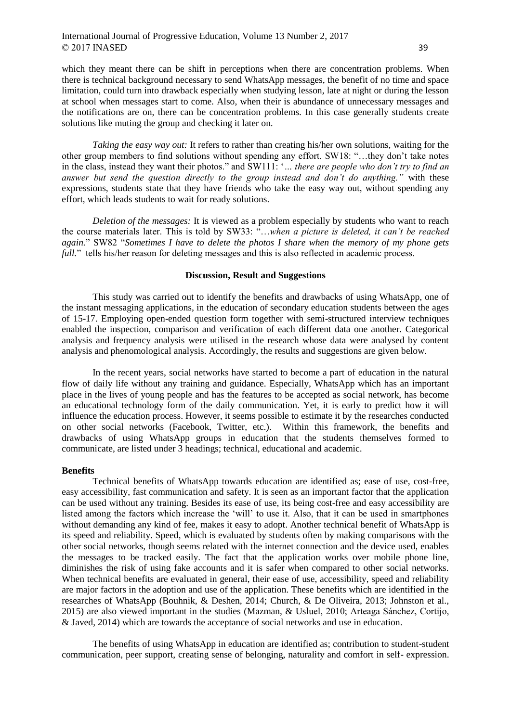which they meant there can be shift in perceptions when there are concentration problems. When there is technical background necessary to send WhatsApp messages, the benefit of no time and space limitation, could turn into drawback especially when studying lesson, late at night or during the lesson at school when messages start to come. Also, when their is abundance of unnecessary messages and the notifications are on, there can be concentration problems. In this case generally students create solutions like muting the group and checking it later on.

*Taking the easy way out:* It refers to rather than creating his/her own solutions, waiting for the other group members to find solutions without spending any effort. SW18: "…they don't take notes in the class, instead they want their photos." and SW111: '*… there are people who don't try to find an answer but send the question directly to the group instead and don't do anything."* with these expressions, students state that they have friends who take the easy way out, without spending any effort, which leads students to wait for ready solutions.

*Deletion of the messages:* It is viewed as a problem especially by students who want to reach the course materials later. This is told by SW33: "…*when a picture is deleted, it can't be reached again.*" SW82 "*Sometimes I have to delete the photos I share when the memory of my phone gets full.*" tells his/her reason for deleting messages and this is also reflected in academic process.

#### **Discussion, Result and Suggestions**

This study was carried out to identify the benefits and drawbacks of using WhatsApp, one of the instant messaging applications, in the education of secondary education students between the ages of 15-17. Employing open-ended question form together with semi-structured interview techniques enabled the inspection, comparison and verification of each different data one another. Categorical analysis and frequency analysis were utilised in the research whose data were analysed by content analysis and phenomological analysis. Accordingly, the results and suggestions are given below.

In the recent years, social networks have started to become a part of education in the natural flow of daily life without any training and guidance. Especially, WhatsApp which has an important place in the lives of young people and has the features to be accepted as social network, has become an educational technology form of the daily communication. Yet, it is early to predict how it will influence the education process. However, it seems possible to estimate it by the researches conducted on other social networks (Facebook, Twitter, etc.). Within this framework, the benefits and drawbacks of using WhatsApp groups in education that the students themselves formed to communicate, are listed under 3 headings; technical, educational and academic.

## **Benefits**

Technical benefits of WhatsApp towards education are identified as; ease of use, cost-free, easy accessibility, fast communication and safety. It is seen as an important factor that the application can be used without any training. Besides its ease of use, its being cost-free and easy accessibility are listed among the factors which increase the 'will' to use it. Also, that it can be used in smartphones without demanding any kind of fee, makes it easy to adopt. Another technical benefit of WhatsApp is its speed and reliability. Speed, which is evaluated by students often by making comparisons with the other social networks, though seems related with the internet connection and the device used, enables the messages to be tracked easily. The fact that the application works over mobile phone line, diminishes the risk of using fake accounts and it is safer when compared to other social networks. When technical benefits are evaluated in general, their ease of use, accessibility, speed and reliability are major factors in the adoption and use of the application. These benefits which are identified in the researches of WhatsApp (Bouhnik, & Deshen, 2014; Church, & De Oliveira, 2013; Johnston et al., 2015) are also viewed important in the studies (Mazman, & Usluel, 2010; Arteaga Sánchez, Cortijo, & Javed, 2014) which are towards the acceptance of social networks and use in education.

The benefits of using WhatsApp in education are identified as; contribution to student-student communication, peer support, creating sense of belonging, naturality and comfort in self- expression.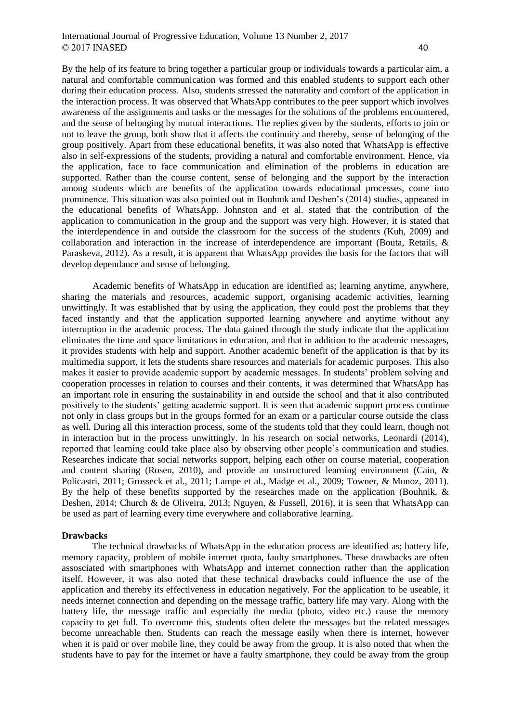By the help of its feature to bring together a particular group or individuals towards a particular aim, a natural and comfortable communication was formed and this enabled students to support each other during their education process. Also, students stressed the naturality and comfort of the application in the interaction process. It was observed that WhatsApp contributes to the peer support which involves awareness of the assignments and tasks or the messages for the solutions of the problems encountered, and the sense of belonging by mutual interactions. The replies given by the students, efforts to join or not to leave the group, both show that it affects the continuity and thereby, sense of belonging of the group positively. Apart from these educational benefits, it was also noted that WhatsApp is effective also in self-expressions of the students, providing a natural and comfortable environment. Hence, via the application, face to face communication and elimination of the problems in education are supported. Rather than the course content, sense of belonging and the support by the interaction among students which are benefits of the application towards educational processes, come into prominence. This situation was also pointed out in Bouhnik and Deshen's (2014) studies, appeared in the educational benefits of WhatsApp. Johnston and et al. stated that the contribution of the application to communication in the group and the support was very high. However, it is stated that the interdependence in and outside the classroom for the success of the students (Kuh, 2009) and collaboration and interaction in the increase of interdependence are important (Bouta, Retails, & Paraskeva, 2012). As a result, it is apparent that WhatsApp provides the basis for the factors that will develop dependance and sense of belonging.

Academic benefits of WhatsApp in education are identified as; learning anytime, anywhere, sharing the materials and resources, academic support, organising academic activities, learning unwittingly. It was established that by using the application, they could post the problems that they faced instantly and that the application supported learning anywhere and anytime without any interruption in the academic process. The data gained through the study indicate that the application eliminates the time and space limitations in education, and that in addition to the academic messages, it provides students with help and support. Another academic benefit of the application is that by its multimedia support, it lets the students share resources and materials for academic purposes. This also makes it easier to provide academic support by academic messages. In students' problem solving and cooperation processes in relation to courses and their contents, it was determined that WhatsApp has an important role in ensuring the sustainability in and outside the school and that it also contributed positively to the students' getting academic support. It is seen that academic support process continue not only in class groups but in the groups formed for an exam or a particular course outside the class as well. During all this interaction process, some of the students told that they could learn, though not in interaction but in the process unwittingly. In his research on social networks, Leonardi (2014), reported that learning could take place also by observing other people's communication and studies. Researches indicate that social networks support, helping each other on course material, cooperation and content sharing (Rosen, 2010), and provide an unstructured learning environment (Cain, & Policastri, 2011; Grosseck et al., 2011; Lampe et al., Madge et al., 2009; Towner, & Munoz, 2011). By the help of these benefits supported by the researches made on the application (Bouhnik, & Deshen, 2014; Church & de Oliveira, 2013; Nguyen, & Fussell, 2016), it is seen that WhatsApp can be used as part of learning every time everywhere and collaborative learning.

#### **Drawbacks**

The technical drawbacks of WhatsApp in the education process are identified as; battery life, memory capacity, problem of mobile internet quota, faulty smartphones. These drawbacks are often assosciated with smartphones with WhatsApp and internet connection rather than the application itself. However, it was also noted that these technical drawbacks could influence the use of the application and thereby its effectiveness in education negatively. For the application to be useable, it needs internet connection and depending on the message traffic, battery life may vary. Along with the battery life, the message traffic and especially the media (photo, video etc.) cause the memory capacity to get full. To overcome this, students often delete the messages but the related messages become unreachable then. Students can reach the message easily when there is internet, however when it is paid or over mobile line, they could be away from the group. It is also noted that when the students have to pay for the internet or have a faulty smartphone, they could be away from the group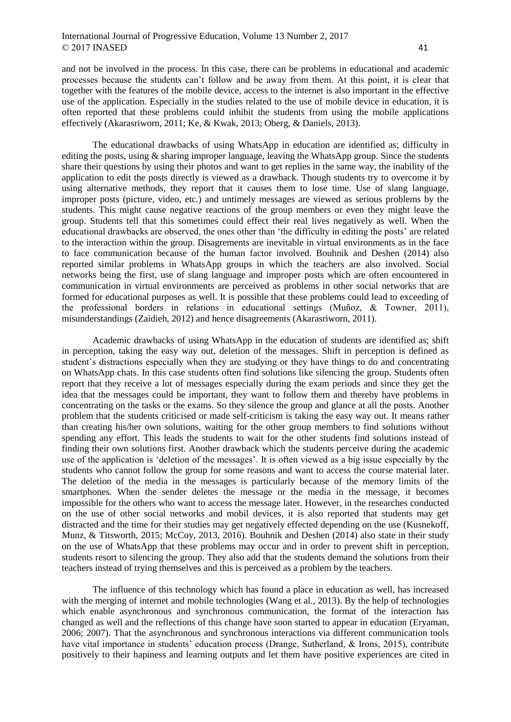and not be involved in the process. In this case, there can be problems in educational and academic processes because the students can't follow and be away from them. At this point, it is clear that together with the features of the mobile device, access to the internet is also important in the effective use of the application. Especially in the studies related to the use of mobile device in education, it is often reported that these problems could inhibit the students from using the mobile applications effectively (Akarasriworn, 2011; Ke, & Kwak, 2013; Oberg, & Daniels, 2013).

The educational drawbacks of using WhatsApp in education are identified as; difficulty in editing the posts, using  $\&$  sharing improper language, leaving the WhatsApp group. Since the students share their questions by using their photos and want to get replies in the same way, the inability of the application to edit the posts directly is viewed as a drawback. Though students try to overcome it by using alternative methods, they report that it causes them to lose time. Use of slang language, improper posts (picture, video, etc.) and untimely messages are viewed as serious problems by the students. This might cause negative reactions of the group members or even they might leave the group. Students tell that this sometimes could effect their real lives negatively as well. When the educational drawbacks are observed, the ones other than 'the difficulty in editing the posts' are related to the interaction within the group. Disagrements are inevitable in virtual environments as in the face to face communication because of the human factor involved. Bouhnik and Deshen (2014) also reported similar problems in WhatsApp groups in which the teachers are also involved. Social networks being the first, use of slang language and improper posts which are often encountered in communication in virtual environments are perceived as problems in other social networks that are formed for educational purposes as well. It is possible that these problems could lead to exceeding of the professional borders in relations in educational settings (Muñoz, & Towner, 2011), misunderstandings (Zaidieh, 2012) and hence disagreements (Akarasriworn, 2011).

Academic drawbacks of using WhatsApp in the education of students are identified as; shift in perception, taking the easy way out, deletion of the messages. Shift in perception is defined as student's distractions especially when they are studying or they have things to do and concentrating on WhatsApp chats. In this case students often find solutions like silencing the group. Students often report that they receive a lot of messages especially during the exam periods and since they get the idea that the messages could be important, they want to follow them and thereby have problems in concentrating on the tasks or the exams. So they silence the group and glance at all the posts. Another problem that the students criticised or made self-criticism is taking the easy way out. It means rather than creating his/her own solutions, waiting for the other group members to find solutions without spending any effort. This leads the students to wait for the other students find solutions instead of finding their own solutions first. Another drawback which the students perceive during the academic use of the application is 'deletion of the messages'. It is often viewed as a big issue especially by the students who cannot follow the group for some reasons and want to access the course material later. The deletion of the media in the messages is particularly because of the memory limits of the smartphones. When the sender deletes the message or the media in the message, it becomes impossible for the others who want to access the message later. However, in the researches conducted on the use of other social networks and mobil devices, it is also reported that students may get distracted and the time for their studies may get negatively effected depending on the use (Kusnekoff, Munz, & Titsworth, 2015; McCoy, 2013, 2016). Bouhnik and Deshen (2014) also state in their study on the use of WhatsApp that these problems may occur and in order to prevent shift in perception, students resort to silencing the group. They also add that the students demand the solutions from their teachers instead of trying themselves and this is perceived as a problem by the teachers.

The influence of this technology which has found a place in education as well, has increased with the merging of internet and mobile technologies (Wang et al., 2013). By the help of technologies which enable asynchronous and synchronous communication, the format of the interaction has changed as well and the reflections of this change have soon started to appear in education (Eryaman, 2006; 2007). That the asynchronous and synchronous interactions via different communication tools have vital importance in students' education process (Drange, Sutherland, & Irons, 2015), contribute positively to their hapiness and learning outputs and let them have positive experiences are cited in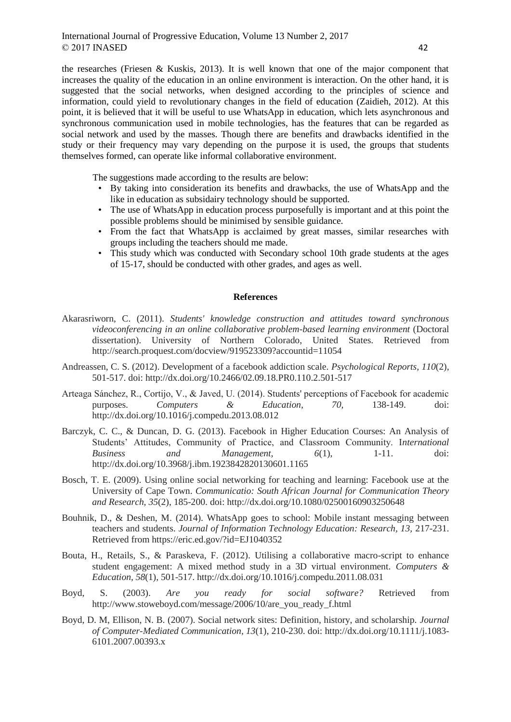the researches (Friesen & Kuskis, 2013). It is well known that one of the major component that increases the quality of the education in an online environment is interaction. On the other hand, it is suggested that the social networks, when designed according to the principles of science and information, could yield to revolutionary changes in the field of education (Zaidieh, 2012). At this point, it is believed that it will be useful to use WhatsApp in education, which lets asynchronous and synchronous communication used in mobile technologies, has the features that can be regarded as social network and used by the masses. Though there are benefits and drawbacks identified in the study or their frequency may vary depending on the purpose it is used, the groups that students themselves formed, can operate like informal collaborative environment.

The suggestions made according to the results are below:

- By taking into consideration its benefits and drawbacks, the use of WhatsApp and the like in education as subsidairy technology should be supported.
- The use of WhatsApp in education process purposefully is important and at this point the possible problems should be minimised by sensible guidance.
- From the fact that WhatsApp is acclaimed by great masses, similar researches with groups including the teachers should me made.
- This study which was conducted with Secondary school 10th grade students at the ages of 15-17, should be conducted with other grades, and ages as well.

### **References**

- Akarasriworn, C. (2011). *Students' knowledge construction and attitudes toward synchronous videoconferencing in an online collaborative problem-based learning environment* (Doctoral dissertation). University of Northern Colorado, United States. Retrieved from http://search.proquest.com/docview/919523309?accountid=11054
- Andreassen, C. S. (2012). Development of a facebook addiction scale. *Psychological Reports, 110*(2), 501-517. doi: http://dx.doi.org/10.2466/02.09.18.PR0.110.2.501-517
- Arteaga Sánchez, R., Cortijo, V., & Javed, U. (2014). Students' perceptions of Facebook for academic purposes. *Computers & Education, 70,* 138-149. doi: http://dx.doi.org/10.1016/j.compedu.2013.08.012
- Barczyk, C. C., & Duncan, D. G. (2013). Facebook in Higher Education Courses: An Analysis of Students' Attitudes, Community of Practice, and Classroom Community. I*nternational Business* and *Management*,  $6(1)$ , 1-11. doi: http://dx.doi.org/10.3968/j.ibm.1923842820130601.1165
- Bosch, T. E. (2009). Using online social networking for teaching and learning: Facebook use at the University of Cape Town. *Communicatio: South African Journal for Communication Theory and Research, 35*(2), 185-200. doi: http://dx.doi.org/10.1080/02500160903250648
- Bouhnik, D., & Deshen, M. (2014). WhatsApp goes to school: Mobile instant messaging between teachers and students. *Journal of Information Technology Education: Research, 13,* 217-231. Retrieved from https://eric.ed.gov/?id=EJ1040352
- Bouta, H., Retails, S., & Paraskeva, F. (2012). Utilising a collaborative macro-script to enhance student engagement: A mixed method study in a 3D virtual environment. *Computers & Education, 58*(1), 501-517. http://dx.doi.org/10.1016/j.compedu.2011.08.031
- Boyd, S. (2003). *Are you ready for social software?* Retrieved from http://www.stoweboyd.com/message/2006/10/are\_you\_ready\_f.html
- Boyd, D. M, Ellison, N. B. (2007). Social network sites: Definition, history, and scholarship. *Journal of Computer-Mediated Communication, 13*(1), 210-230. doi: http://dx.doi.org/10.1111/j.1083- 6101.2007.00393.x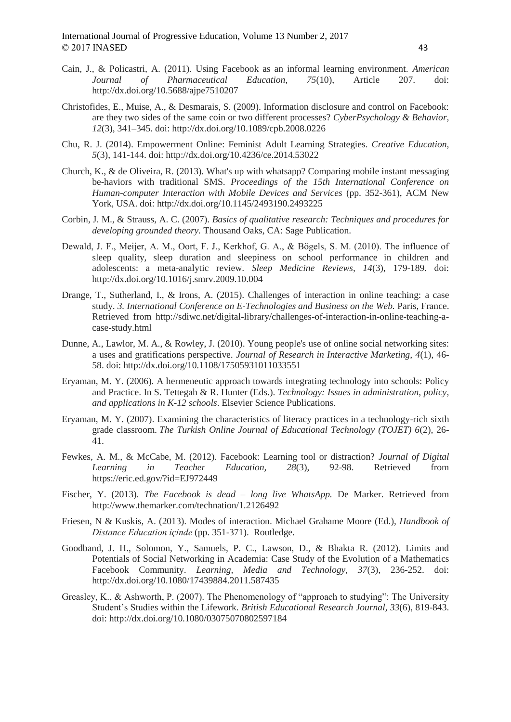- Cain, J., & Policastri, A. (2011). Using Facebook as an informal learning environment. *American Journal of Pharmaceutical Education, 75*(10), Article 207. doi: http://dx.doi.org/10.5688/ajpe7510207
- Christofides, E., Muise, A., & Desmarais, S. (2009). Information disclosure and control on Facebook: are they two sides of the same coin or two different processes? *CyberPsychology & Behavior, 12*(3), 341–345. doi: http://dx.doi.org/10.1089/cpb.2008.0226
- Chu, R. J. (2014). Empowerment Online: Feminist Adult Learning Strategies. *Creative Education, 5*(3), 141-144. doi: http://dx.doi.org/10.4236/ce.2014.53022
- Church, K., & de Oliveira, R. (2013). What's up with whatsapp? Comparing mobile instant messaging be-haviors with traditional SMS. *Proceedings of the 15th International Conference on Human-computer Interaction with Mobile Devices and Services* (pp. 352-361), ACM New York, USA. doi: http://dx.doi.org/10.1145/2493190.2493225
- Corbin, J. M., & Strauss, A. C. (2007). *Basics of qualitative research: Techniques and procedures for developing grounded theory.* Thousand Oaks, CA: Sage Publication.
- Dewald, J. F., Meijer, A. M., Oort, F. J., Kerkhof, G. A., & Bögels, S. M. (2010). The influence of sleep quality, sleep duration and sleepiness on school performance in children and adolescents: a meta-analytic review. *Sleep Medicine Reviews, 14*(3), 179-189. doi: http://dx.doi.org/10.1016/j.smrv.2009.10.004
- Drange, T., Sutherland, I., & Irons, A. (2015). Challenges of interaction in online teaching: a case study. *3. International Conference on E-Technologies and Business on the Web.* Paris, France. Retrieved from http://sdiwc.net/digital-library/challenges-of-interaction-in-online-teaching-acase-study.html
- Dunne, A., Lawlor, M. A., & Rowley, J. (2010). Young people's use of online social networking sites: a uses and gratifications perspective. *Journal of Research in Interactive Marketing, 4*(1), 46- 58. doi: http://dx.doi.org/10.1108/17505931011033551
- Eryaman, M. Y. (2006). A hermeneutic approach towards integrating technology into schools: Policy and Practice. In S. Tettegah & R. Hunter (Eds.). *Technology: Issues in administration, policy, and applications in K-12 schools*. Elsevier Science Publications.
- Eryaman, M. Y. (2007). Examining the characteristics of literacy practices in a technology-rich sixth grade classroom. *The Turkish Online Journal of Educational Technology (TOJET) 6*(2), 26- 41.
- Fewkes, A. M., & McCabe, M. (2012). Facebook: Learning tool or distraction? *Journal of Digital Learning in Teacher Education, 28*(3), 92-98. Retrieved from https://eric.ed.gov/?id=EJ972449
- Fischer, Y. (2013). *The Facebook is dead – long live WhatsApp.* De Marker. Retrieved from http://www.themarker.com/technation/1.2126492
- Friesen, N & Kuskis, A. (2013). Modes of interaction. Michael Grahame Moore (Ed.), *Handbook of Distance Education içinde* (pp. 351-371). Routledge.
- Goodband, J. H., Solomon, Y., Samuels, P. C., Lawson, D., & Bhakta R. (2012). Limits and Potentials of Social Networking in Academia: Case Study of the Evolution of a Mathematics Facebook Community. *Learning, Media and Technology, 37*(3), 236-252. doi: http://dx.doi.org/10.1080/17439884.2011.587435
- Greasley, K., & Ashworth, P. (2007). The Phenomenology of "approach to studying": The University Student's Studies within the Lifework. *British Educational Research Journal, 33*(6), 819-843. doi: http://dx.doi.org/10.1080/03075070802597184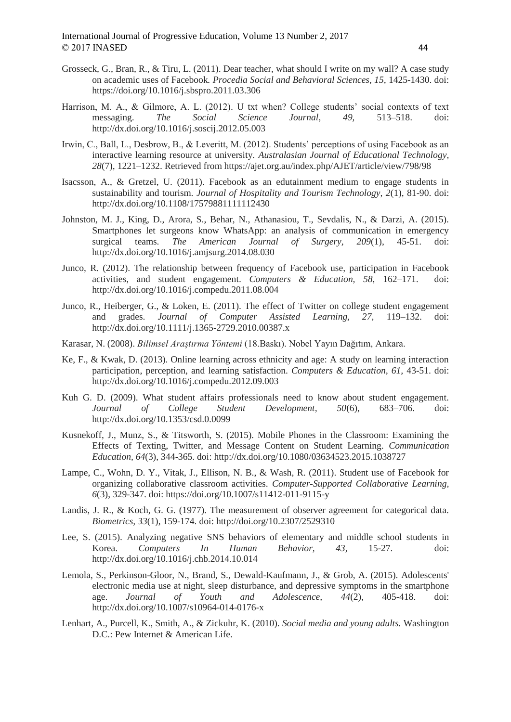- Grosseck, G., Bran, R., & Tiru, L. (2011). Dear teacher, what should I write on my wall? A case study on academic uses of Facebook*. Procedia Social and Behavioral Sciences, 15,* 1425-1430. doi: https://doi.org/10.1016/j.sbspro.2011.03.306
- Harrison, M. A., & Gilmore, A. L. (2012). U txt when? College students' social contexts of text messaging. *The Social Science Journal, 49,* 513–518. doi: http://dx.doi.org/10.1016/j.soscij.2012.05.003
- Irwin, C., Ball, L., Desbrow, B., & Leveritt, M. (2012). Students' perceptions of using Facebook as an interactive learning resource at university. *Australasian Journal of Educational Technology, 28*(7), 1221–1232. Retrieved from https://ajet.org.au/index.php/AJET/article/view/798/98
- Isacsson, A., & Gretzel, U. (2011). Facebook as an edutainment medium to engage students in sustainability and tourism. *Journal of Hospitality and Tourism Technology, 2*(1), 81-90. doi: http://dx.doi.org/10.1108/17579881111112430
- Johnston, M. J., King, D., Arora, S., Behar, N., Athanasiou, T., Sevdalis, N., & Darzi, A. (2015). Smartphones let surgeons know WhatsApp: an analysis of communication in emergency surgical teams. *The American Journal of Surgery, 209*(1), 45-51. doi: http://dx.doi.org/10.1016/j.amjsurg.2014.08.030
- Junco, R. (2012). The relationship between frequency of Facebook use, participation in Facebook activities, and student engagement. *Computers & Education, 58,* 162–171. doi: http://dx.doi.org/10.1016/j.compedu.2011.08.004
- Junco, R., Heiberger, G., & Loken, E. (2011). The effect of Twitter on college student engagement and grades. *Journal of Computer Assisted Learning, 27,* 119–132. doi: http://dx.doi.org/10.1111/j.1365-2729.2010.00387.x
- Karasar, N. (2008). *Bilimsel Araştırma Yöntemi* (18.Baskı). Nobel Yayın Dağıtım, Ankara.
- Ke, F., & Kwak, D. (2013). Online learning across ethnicity and age: A study on learning interaction participation, perception, and learning satisfaction. *Computers & Education, 61,* 43-51. doi: http://dx.doi.org/10.1016/j.compedu.2012.09.003
- Kuh G. D. (2009). What student affairs professionals need to know about student engagement. *Journal of College Student Development, 50*(6), 683–706. doi: http://dx.doi.org/10.1353/csd.0.0099
- Kusnekoff, J., Munz, S., & Titsworth, S. (2015). Mobile Phones in the Classroom: Examining the Effects of Texting, Twitter, and Message Content on Student Learning. *Communication Education, 64*(3), 344-365. doi: http://dx.doi.org/10.1080/03634523.2015.1038727
- Lampe, C., Wohn, D. Y., Vitak, J., Ellison, N. B., & Wash, R. (2011). Student use of Facebook for organizing collaborative classroom activities. *Computer-Supported Collaborative Learning, 6*(3), 329-347. doi: https://doi.org/10.1007/s11412-011-9115-y
- Landis, J. R., & Koch, G. G. (1977). The measurement of observer agreement for categorical data. *Biometrics, 33*(1), 159-174. doi: http://doi.org/10.2307/2529310
- Lee, S. (2015). Analyzing negative SNS behaviors of elementary and middle school students in Korea. *Computers In Human Behavior, 43,* 15-27. doi: http://dx.doi.org/10.1016/j.chb.2014.10.014
- Lemola, S., Perkinson-Gloor, N., Brand, S., Dewald-Kaufmann, J., & Grob, A. (2015). Adolescents' electronic media use at night, sleep disturbance, and depressive symptoms in the smartphone age. *Journal of Youth and Adolescence, 44*(2), 405-418. doi: http://dx.doi.org/10.1007/s10964-014-0176-x
- Lenhart, A., Purcell, K., Smith, A., & Zickuhr, K. (2010). *Social media and young adults.* Washington D.C.: Pew Internet & American Life.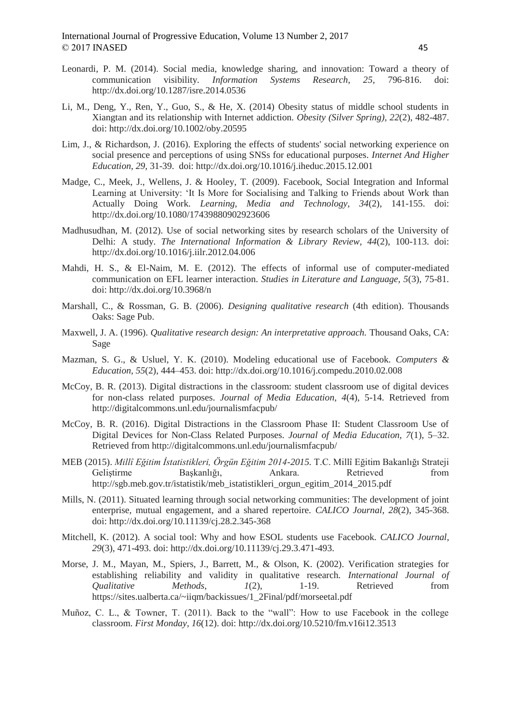- Leonardi, P. M. (2014). Social media, knowledge sharing, and innovation: Toward a theory of communication visibility*. Information Systems Research, 25*, 796-816. doi: http://dx.doi.org/10.1287/isre.2014.0536
- Li, M., Deng, Y., Ren, Y., Guo, S., & He, X. (2014) Obesity status of middle school students in Xiangtan and its relationship with Internet addiction. *Obesity (Silver Spring), 22*(2), 482-487. doi: http://dx.doi.org/10.1002/oby.20595
- Lim, J., & Richardson, J. (2016). Exploring the effects of students' social networking experience on social presence and perceptions of using SNSs for educational purposes. *Internet And Higher Education, 29,* 31-39. doi: http://dx.doi.org/10.1016/j.iheduc.2015.12.001
- Madge, C., Meek, J., Wellens, J. & Hooley, T. (2009). Facebook, Social Integration and Informal Learning at University: 'It Is More for Socialising and Talking to Friends about Work than Actually Doing Work. *Learning, Media and Technology, 34*(2), 141-155. doi: http://dx.doi.org/10.1080/17439880902923606
- Madhusudhan, M. (2012). Use of social networking sites by research scholars of the University of Delhi: A study. *The International Information & Library Review, 44*(2), 100-113. doi: http://dx.doi.org/10.1016/j.iilr.2012.04.006
- Mahdi, H. S., & El-Naim, M. E. (2012). The effects of informal use of computer-mediated communication on EFL learner interaction. *Studies in Literature and Language, 5*(3), 75-81. doi: http://dx.doi.org/10.3968/n
- Marshall, C., & Rossman, G. B. (2006). *Designing qualitative research* (4th edition). Thousands Oaks: Sage Pub.
- Maxwell, J. A. (1996). *Qualitative research design: An interpretative approach.* Thousand Oaks, CA: Sage
- Mazman, S. G., & Usluel, Y. K. (2010). Modeling educational use of Facebook. *Computers & Education, 55*(2), 444–453. doi: http://dx.doi.org/10.1016/j.compedu.2010.02.008
- McCoy, B. R. (2013). Digital distractions in the classroom: student classroom use of digital devices for non-class related purposes. *Journal of Media Education, 4*(4), 5-14. Retrieved from http://digitalcommons.unl.edu/journalismfacpub/
- McCoy, B. R. (2016). Digital Distractions in the Classroom Phase II: Student Classroom Use of Digital Devices for Non-Class Related Purposes. *Journal of Media Education, 7*(1), 5–32. Retrieved from http://digitalcommons.unl.edu/journalismfacpub/
- MEB (2015). *Millî Eğitim İstatistikleri, Örgün Eğitim 2014-2015.* T.C. Millî Eğitim Bakanlığı Strateji Geliştirme Başkanlığı, Ankara. Retrieved from http://sgb.meb.gov.tr/istatistik/meb\_istatistikleri\_orgun\_egitim\_2014\_2015.pdf
- Mills, N. (2011). Situated learning through social networking communities: The development of joint enterprise, mutual engagement, and a shared repertoire. *CALICO Journal, 28*(2), 345-368. doi: http://dx.doi.org/10.11139/cj.28.2.345-368
- Mitchell, K. (2012). A social tool: Why and how ESOL students use Facebook. *CALICO Journal, 29*(3), 471-493. doi: http://dx.doi.org/10.11139/cj.29.3.471-493.
- Morse, J. M., Mayan, M., Spiers, J., Barrett, M., & Olson, K. (2002). Verification strategies for establishing reliability and validity in qualitative research. *International Journal of Qualitative Methods, 1*(2), 1-19. Retrieved from https://sites.ualberta.ca/~iiqm/backissues/1\_2Final/pdf/morseetal.pdf
- Muñoz, C. L., & Towner, T. (2011). Back to the "wall": How to use Facebook in the college classroom. *First Monday, 16*(12). doi: http://dx.doi.org/10.5210/fm.v16i12.3513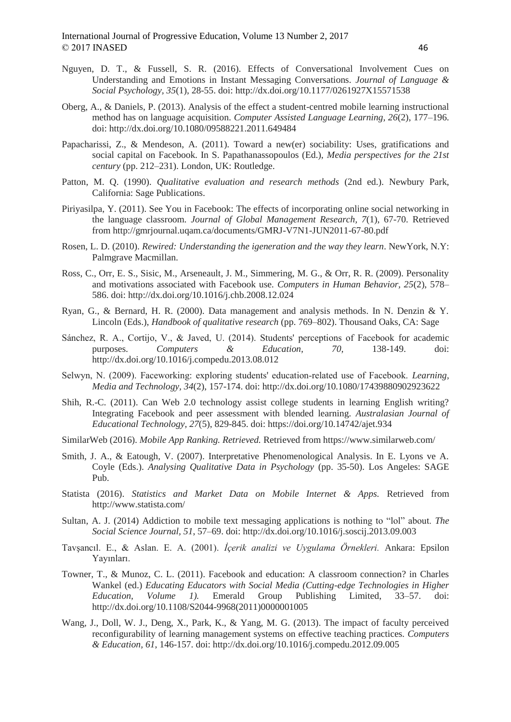- Nguyen, D. T., & Fussell, S. R. (2016). Effects of Conversational Involvement Cues on Understanding and Emotions in Instant Messaging Conversations. *Journal of Language & Social Psychology, 35*(1), 28-55. doi: http://dx.doi.org/10.1177/0261927X15571538
- Oberg, A., & Daniels, P. (2013). Analysis of the effect a student-centred mobile learning instructional method has on language acquisition. *Computer Assisted Language Learning, 26*(2), 177–196. doi: http://dx.doi.org/10.1080/09588221.2011.649484
- Papacharissi, Z., & Mendeson, A. (2011). Toward a new(er) sociability: Uses, gratifications and social capital on Facebook. In S. Papathanassopoulos (Ed.), *Media perspectives for the 21st century* (pp. 212–231). London, UK: Routledge.
- Patton, M. Q. (1990). *Qualitative evaluation and research methods* (2nd ed.). Newbury Park, California: Sage Publications.
- Piriyasilpa, Y. (2011). See You in Facebook: The effects of incorporating online social networking in the language classroom. *Journal of Global Management Research, 7*(1), 67-70. Retrieved from http://gmrjournal.uqam.ca/documents/GMRJ-V7N1-JUN2011-67-80.pdf
- Rosen, L. D. (2010). *Rewired: Understanding the igeneration and the way they learn*. NewYork, N.Y: Palmgrave Macmillan.
- Ross, C., Orr, E. S., Sisic, M., Arseneault, J. M., Simmering, M. G., & Orr, R. R. (2009). Personality and motivations associated with Facebook use. *Computers in Human Behavior, 25*(2), 578– 586. doi: http://dx.doi.org/10.1016/j.chb.2008.12.024
- Ryan, G., & Bernard, H. R. (2000). Data management and analysis methods. In N. Denzin & Y. Lincoln (Eds.), *Handbook of qualitative research* (pp. 769–802). Thousand Oaks, CA: Sage
- Sánchez, R. A., Cortijo, V., & Javed, U. (2014). Students' perceptions of Facebook for academic purposes. *Computers & Education, 70,* 138-149. doi: http://dx.doi.org/10.1016/j.compedu.2013.08.012
- Selwyn, N. (2009). Faceworking: exploring students' education‐related use of Facebook. *Learning, Media and Technology, 34*(2), 157-174. doi: http://dx.doi.org/10.1080/17439880902923622
- Shih, R.-C. (2011). Can Web 2.0 technology assist college students in learning English writing? Integrating Facebook and peer assessment with blended learning. *Australasian Journal of Educational Technology, 27*(5), 829-845. doi: https://doi.org/10.14742/ajet.934
- SimilarWeb (2016). *Mobile App Ranking. Retrieved.* Retrieved from https://www.similarweb.com/
- Smith, J. A., & Eatough, V. (2007). Interpretative Phenomenological Analysis. In E. Lyons ve A. Coyle (Eds.). *Analysing Qualitative Data in Psychology* (pp. 35-50). Los Angeles: SAGE Pub.
- Statista (2016). *Statistics and Market Data on Mobile Internet & Apps.* Retrieved from http://www.statista.com/
- Sultan, A. J. (2014) Addiction to mobile text messaging applications is nothing to "lol" about. *The Social Science Journal, 51*, 57–69. doi: http://dx.doi.org/10.1016/j.soscij.2013.09.003
- Tavşancıl. E., & Aslan. E. A. (2001). *İçerik analizi ve Uygulama Örnekleri.* Ankara: Epsilon Yayınları.
- Towner, T., & Munoz, C. L. (2011). Facebook and education: A classroom connection? in Charles Wankel (ed.) *Educating Educators with Social Media (Cutting-edge Technologies in Higher Education, Volume 1).* Emerald Group Publishing Limited, 33–57. doi: http://dx.doi.org/10.1108/S2044-9968(2011)0000001005
- Wang, J., Doll, W. J., Deng, X., Park, K., & Yang, M. G. (2013). The impact of faculty perceived reconfigurability of learning management systems on effective teaching practices. *Computers & Education, 61*, 146-157. doi: http://dx.doi.org/10.1016/j.compedu.2012.09.005